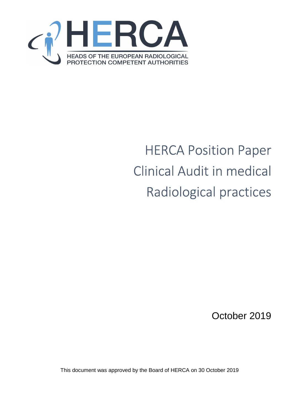

# HERCA Position Paper Clinical Audit in medical Radiological practices

October 2019

This document was approved by the Board of HERCA on 30 October 2019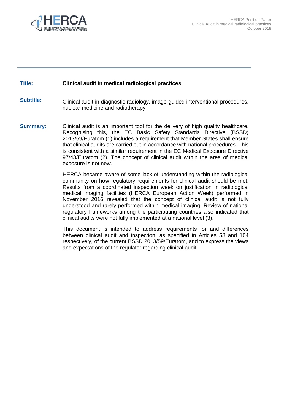

#### **Title: Clinical audit in medical radiological practices**

**Subtitle:** Clinical audit in diagnostic radiology, image-guided interventional procedures, nuclear medicine and radiotherapy

**Summary:** Clinical audit is an important tool for the delivery of high quality healthcare. Recognising this, the EC Basic Safety Standards Directive (BSSD) 2013/59/Euratom (1) includes a requirement that Member States shall ensure that clinical audits are carried out in accordance with national procedures. This is consistent with a similar requirement in the EC Medical Exposure Directive 97/43/Euratom (2). The concept of clinical audit within the area of medical exposure is not new.

> HERCA became aware of some lack of understanding within the radiological community on how regulatory requirements for clinical audit should be met. Results from a coordinated inspection week on justification in radiological medical imaging facilities (HERCA European Action Week) performed in November 2016 revealed that the concept of clinical audit is not fully understood and rarely performed within medical imaging. Review of national regulatory frameworks among the participating countries also indicated that clinical audits were not fully implemented at a national level (3).

> This document is intended to address requirements for and differences between clinical audit and inspection, as specified in Articles 58 and 104 respectively, of the current BSSD 2013/59/Euratom, and to express the views and expectations of the regulator regarding clinical audit.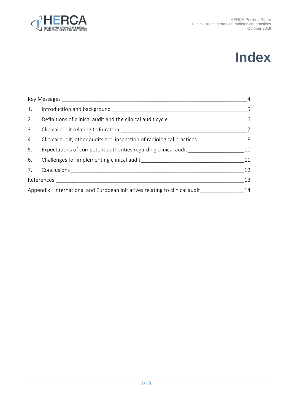



| 1. |                                                                                  | $\overline{\phantom{0}}$ |  |
|----|----------------------------------------------------------------------------------|--------------------------|--|
| 2. | Definitions of clinical audit and the clinical audit cycle______________________ | $6\overline{6}$          |  |
| 3. |                                                                                  | $\overline{7}$           |  |
| 4. | Clinical audit, other audits and inspection of radiological practices            | 8                        |  |
| 5. | Expectations of competent authorities regarding clinical audit                   | 10                       |  |
| 6. |                                                                                  | 11                       |  |
|    |                                                                                  | 12                       |  |
|    |                                                                                  |                          |  |
|    | Appendix : International and European initiatives relating to clinical audit     |                          |  |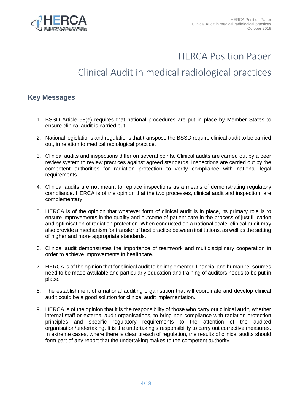

## HERCA Position Paper

# Clinical Audit in medical radiological practices

## **Key Messages**

- 1. BSSD Article 58(e) requires that national procedures are put in place by Member States to ensure clinical audit is carried out.
- 2. National legislations and regulations that transpose the BSSD require clinical audit to be carried out, in relation to medical radiological practice.
- 3. Clinical audits and inspections differ on several points. Clinical audits are carried out by a peer review system to review practices against agreed standards. Inspections are carried out by the competent authorities for radiation protection to verify compliance with national legal requirements.
- 4. Clinical audits are not meant to replace inspections as a means of demonstrating regulatory compliance. HERCA is of the opinion that the two processes, clinical audit and inspection, are complementary.
- 5. HERCA is of the opinion that whatever form of clinical audit is in place, its primary role is to ensure improvements in the quality and outcome of patient care in the process of justifi- cation and optimisation of radiation protection. When conducted on a national scale, clinical audit may also provide a mechanism for transfer of best practice between institutions, as well as the setting of higher and more appropriate standards.
- 6. Clinical audit demonstrates the importance of teamwork and multidisciplinary cooperation in order to achieve improvements in healthcare.
- 7. HERCA is of the opinion that for clinical audit to be implemented financial and human re- sources need to be made available and particularly education and training of auditors needs to be put in place.
- 8. The establishment of a national auditing organisation that will coordinate and develop clinical audit could be a good solution for clinical audit implementation.
- 9. HERCA is of the opinion that it is the responsibility of those who carry out clinical audit, whether internal staff or external audit organisations, to bring non-compliance with radiation protection principles and specific regulatory requirements to the attention of the audited organisation/undertaking. It is the undertaking's responsibility to carry out corrective measures. In extreme cases, where there is clear breach of regulation, the results of clinical audits should form part of any report that the undertaking makes to the competent authority.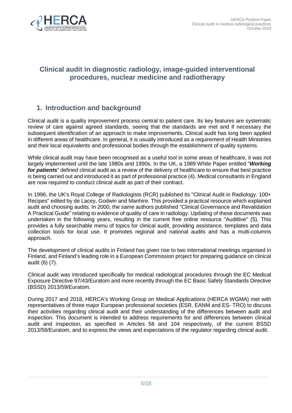

## **Clinical audit in diagnostic radiology, image-guided interventional procedures, nuclear medicine and radiotherapy**

## **1. Introduction and background**

Clinical audit is a quality improvement process central to patient care. Its key features are systematic review of care against agreed standards, seeing that the standards are met and if necessary the subsequent identification of an approach to make improvements. Clinical audit has long been applied in different areas of healthcare. In general, it is usually introduced as a requirement of Health Ministries and their local equivalents and professional bodies through the establishment of quality systems.

While clinical audit may have been recognised as a useful tool in some areas of healthcare, it was not largely implemented until the late 1980s and 1990s. In the UK, a 1989 White Paper entitled "**Working for patients**" defined clinical audit as a review of the delivery of healthcare to ensure that best practice is being carried out and introduced it as part of professional practice (4). Medical consultants in England are now required to conduct clinical audit as part of their contract.

In 1996, the UK's Royal College of Radiologists (RCR) published its "Clinical Audit in Radiology. 100+ Recipes" edited by de Lacey, Godwin and Manhire. This provided a practical resource which explained audit and choosing audits. In 2000, the same authors published "Clinical Governance and Revalidation A Practical Guide" relating to evidence of quality of care in radiology. Updating of these documents was undertaken in the following years, resulting in the current free online resource "Auditlive" (5). This provides a fully searchable menu of topics for clinical audit, providing assistance, templates and data collection tools for local use. It promotes regional and national audits and has a multi-columns approach.

The development of clinical audits in Finland has given rise to two international meetings organised in Finland, and Finland's leading role in a European Commission project for preparing guidance on clinical audit (6) (7).

Clinical audit was introduced specifically for medical radiological procedures through the EC Medical Exposure Directive 97/43/Euratom and more recently through the EC Basic Safety Standards Directive (BSSD) 2013/59/Euratom.

During 2017 and 2018, HERCA's Working Group on Medical Applications (HERCA WGMA) met with representatives of three major European professional societies (ESR, EANM and ES- TRO) to discuss their activities regarding clinical audit and their understanding of the differences between audit and inspection. This document is intended to address requirements for and differences between clinical audit and inspection, as specified in Articles 58 and 104 respectively, of the current BSSD 2013/59/Euratom, and to express the views and expectations of the regulator regarding clinical audit.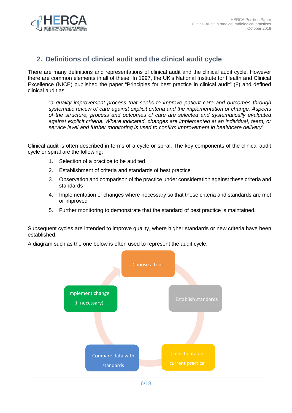

## **2. Definitions of clinical audit and the clinical audit cycle**

There are many definitions and representations of clinical audit and the clinical audit cycle. However there are common elements in all of these. In 1997, the UK's National Institute for Health and Clinical Excellence (NICE) published the paper "Principles for best practice in clinical audit" (8) and defined clinical audit as

"a quality improvement process that seeks to improve patient care and outcomes through systematic review of care against explicit criteria and the implementation of change. Aspects of the structure, process and outcomes of care are selected and systematically evaluated against explicit criteria. Where indicated, changes are implemented at an individual, team, or service level and further monitoring is used to confirm improvement in healthcare delivery"

Clinical audit is often described in terms of a cycle or spiral. The key components of the clinical audit cycle or spiral are the following:

- 1. Selection of a practice to be audited
- 2. Establishment of criteria and standards of best practice
- 3. Observation and comparison of the practice under consideration against these criteria and standards
- 4. Implementation of changes where necessary so that these criteria and standards are met or improved
- 5. Further monitoring to demonstrate that the standard of best practice is maintained.

Subsequent cycles are intended to improve quality, where higher standards or new criteria have been established.

A diagram such as the one below is often used to represent the audit cycle:

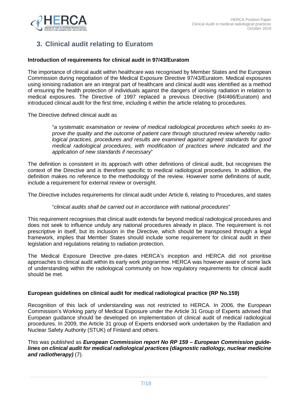

## **3. Clinical audit relating to Euratom**

#### **Introduction of requirements for clinical audit in 97/43/Euratom**

The importance of clinical audit within healthcare was recognised by Member States and the European Commission during negotiation of the Medical Exposure Directive 97/43/Euratom. Medical exposures using ionising radiation are an integral part of healthcare and clinical audit was identified as a method of ensuring the health protection of individuals against the dangers of ionising radiation in relation to medical exposures. The Directive of 1997 replaced a previous Directive (84/466/Euratom) and introduced clinical audit for the first time, including it within the article relating to procedures.

The Directive defined clinical audit as

"a systematic examination or review of medical radiological procedures which seeks to improve the quality and the outcome of patient care through structured review whereby radiological practices, procedures and results are examined against agreed standards for good medical radiological procedures, with modification of practices where indicated and the application of new standards if necessary"

The definition is consistent in its approach with other definitions of clinical audit, but recognises the context of the Directive and is therefore specific to medical radiological procedures. In addition, the definition makes no reference to the methodology of the review. However some definitions of audit, include a requirement for external review or oversight.

The Directive includes requirements for clinical audit under Article 6, relating to Procedures, and states

#### "clinical audits shall be carried out in accordance with national procedures"

This requirement recognises that clinical audit extends far beyond medical radiological procedures and does not seek to influence unduly any national procedures already in place. The requirement is not prescriptive in itself, but its inclusion in the Directive, which should be transposed through a legal framework, implies that Member States should include some requirement for clinical audit in their legislation and regulations relating to radiation protection.

The Medical Exposure Directive pre-dates HERCA's inception and HERCA did not prioritise approaches to clinical audit within its early work programme. HERCA was however aware of some lack of understanding within the radiological community on how regulatory requirements for clinical audit should be met.

#### **European guidelines on clinical audit for medical radiological practice (RP No.159)**

Recognition of this lack of understanding was not restricted to HERCA. In 2006, the European Commission's Working party of Medical Exposure under the Article 31 Group of Experts advised that European guidance should be developed on implementation of clinical audit of medical radiological procedures. In 2009, the Article 31 group of Experts endorsed work undertaken by the Radiation and Nuclear Safety Authority (STUK) of Finland and others.

This was published as **European Commission report No RP 159 – European Commission guidelines on clinical audit for medical radiological practices (diagnostic radiology, nuclear medicine and radiotherapy)** (7).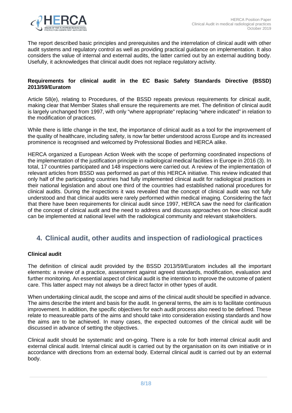

The report described basic principles and prerequisites and the interrelation of clinical audit with other audit systems and regulatory control as well as providing practical guidance on implementation. It also considers the value of internal and external audits, the latter carried out by an external auditing body. Usefully, it acknowledges that clinical audit does not replace regulatory activity.

#### **Requirements for clinical audit in the EC Basic Safety Standards Directive (BSSD) 2013/59/Euratom**

Article 58(e), relating to Procedures, of the BSSD repeats previous requirements for clinical audit, making clear that Member States shall ensure the requirements are met. The definition of clinical audit is largely unchanged from 1997, with only "where appropriate" replacing "where indicated" in relation to the modification of practices.

While there is little change in the text, the importance of clinical audit as a tool for the improvement of the quality of healthcare, including safety, is now far better understood across Europe and its increased prominence is recognised and welcomed by Professional Bodies and HERCA alike.

HERCA organized a European Action Week with the scope of performing coordinated inspections of the implementation of the justification principle in radiological medical facilities in Europe in 2016 (3). In total, 17 countries participated and 148 inspections were carried out. A review of the implementation of relevant articles from BSSD was performed as part of this HERCA initiative. This review indicated that only half of the participating countries had fully implemented clinical audit for radiological practices in their national legislation and about one third of the countries had established national procedures for clinical audits. During the inspections it was revealed that the concept of clinical audit was not fully understood and that clinical audits were rarely performed within medical imaging. Considering the fact that there have been requirements for clinical audit since 1997, HERCA saw the need for clarification of the concept of clinical audit and the need to address and discuss approaches on how clinical audit can be implemented at national level with the radiological community and relevant stakeholders.

## **4. Clinical audit, other audits and inspection of radiological practices**

#### **Clinical audit**

The definition of clinical audit provided by the BSSD 2013/59/Euratom includes all the important elements: a review of a practice, assessment against agreed standards, modification, evaluation and further monitoring. An essential aspect of clinical audit is the intention to improve the outcome of patient care. This latter aspect may not always be a direct factor in other types of audit.

When undertaking clinical audit, the scope and aims of the clinical audit should be specified in advance. The aims describe the intent and basis for the audit. In general terms, the aim is to facilitate continuous improvement. In addition, the specific objectives for each audit process also need to be defined. These relate to measureable parts of the aims and should take into consideration existing standards and how the aims are to be achieved. In many cases, the expected outcomes of the clinical audit will be discussed in advance of setting the objectives.

Clinical audit should be systematic and on-going. There is a role for both internal clinical audit and external clinical audit. Internal clinical audit is carried out by the organisation on its own initiative or in accordance with directions from an external body. External clinical audit is carried out by an external body.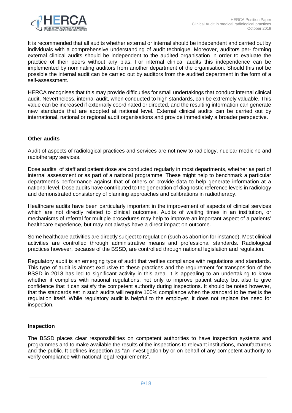

It is recommended that all audits whether external or internal should be independent and carried out by individuals with a comprehensive understanding of audit technique. Moreover, auditors per- forming external clinical audits should be independent to the audited organisation in order to evaluate the practice of their peers without any bias. For internal clinical audits this independence can be implemented by nominating auditors from another department of the organisation. Should this not be possible the internal audit can be carried out by auditors from the audited department in the form of a self-assessment.

HERCA recognises that this may provide difficulties for small undertakings that conduct internal clinical audit. Nevertheless, internal audit, when conducted to high standards, can be extremely valuable. This value can be increased if externally coordinated or directed, and the resulting information can generate new standards that are adopted at national level. External clinical audits can be carried out by international, national or regional audit organisations and provide immediately a broader perspective.

#### **Other audits**

Audit of aspects of radiological practices and services are not new to radiology, nuclear medicine and radiotherapy services.

Dose audits, of staff and patient dose are conducted regularly in most departments, whether as part of internal assessment or as part of a national programme. These might help to benchmark a particular department's performance against that of others or provide data to help generate information at a national level. Dose audits have contributed to the generation of diagnostic reference levels in radiology and demonstrated consistency of planning approaches and calibrations in radiotherapy.

Healthcare audits have been particularly important in the improvement of aspects of clinical services which are not directly related to clinical outcomes. Audits of waiting times in an institution, or mechanisms of referral for multiple procedures may help to improve an important aspect of a patients' healthcare experience, but may not always have a direct impact on outcome.

Some healthcare activities are directly subject to regulation (such as abortion for instance). Most clinical activities are controlled through administrative means and professional standards. Radiological practices however, because of the BSSD, are controlled through national legislation and regulation.

Regulatory audit is an emerging type of audit that verifies compliance with regulations and standards. This type of audit is almost exclusive to these practices and the requirement for transposition of the BSSD in 2018 has led to significant activity in this area. It is appealing to an undertaking to know whether it complies with national regulations, not only to improve patient safety but also to give confidence that it can satisfy the competent authority during inspections. It should be noted however, that the standards set in such audits will require 100% compliance when the standard to be met is the regulation itself. While regulatory audit is helpful to the employer, it does not replace the need for inspection.

#### **Inspection**

The BSSD places clear responsibilities on competent authorities to have inspection systems and programmes and to make available the results of the inspections to relevant institutions, manufacturers and the public. It defines inspection as "an investigation by or on behalf of any competent authority to verify compliance with national legal requirements".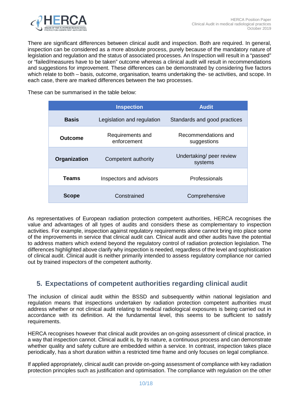

There are significant differences between clinical audit and inspection. Both are required. In general, inspection can be considered as a more absolute process, purely because of the mandatory nature of legislation and regulation and the status of associated processes. An Inspection will result in a "passed" or "failed/measures have to be taken" outcome whereas a clinical audit will result in recommendations and suggestions for improvement. These differences can be demonstrated by considering five factors which relate to both – basis, outcome, organisation, teams undertaking the- se activities, and scope. In each case, there are marked differences between the two processes.

These can be summarised in the table below:

|              | <b>Inspection</b>               | <b>Audit</b>                        |
|--------------|---------------------------------|-------------------------------------|
| <b>Basis</b> | Legislation and regulation      | Standards and good practices        |
| Outcome      | Requirements and<br>enforcement | Recommendations and<br>suggestions  |
| Organization | Competent authority             | Undertaking/ peer review<br>systems |
| <b>Teams</b> | Inspectors and advisors         | Professionals                       |
| <b>Scope</b> | Constrained                     | Comprehensive                       |

As representatives of European radiation protection competent authorities, HERCA recognises the value and advantages of all types of audits and considers these as complementary to inspection activities. For example, inspection against regulatory requirements alone cannot bring into place some of the improvements in service that clinical audit can. Clinical audit and other audits have the potential to address matters which extend beyond the regulatory control of radiation protection legislation. The differences highlighted above clarify why inspection is needed, regardless of the level and sophistication of clinical audit. Clinical audit is neither primarily intended to assess regulatory compliance nor carried out by trained inspectors of the competent authority.

## **5. Expectations of competent authorities regarding clinical audit**

The inclusion of clinical audit within the BSSD and subsequently within national legislation and regulation means that inspections undertaken by radiation protection competent authorities must address whether or not clinical audit relating to medical radiological exposures is being carried out in accordance with its definition. At the fundamental level, this seems to be sufficient to satisfy requirements.

HERCA recognises however that clinical audit provides an on-going assessment of clinical practice, in a way that inspection cannot. Clinical audit is, by its nature, a continuous process and can demonstrate whether quality and safety culture are embedded within a service. In contrast, inspection takes place periodically, has a short duration within a restricted time frame and only focuses on legal compliance.

If applied appropriately, clinical audit can provide on-going assessment of compliance with key radiation protection principles such as justification and optimisation. The compliance with regulation on the other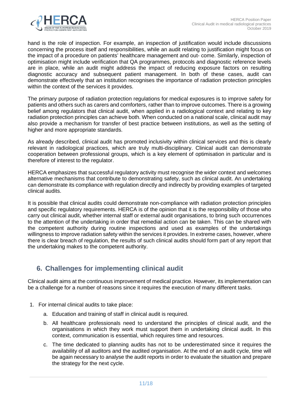

hand is the role of inspection. For example, an inspection of justification would include discussions concerning the process itself and responsibilities, while an audit relating to justification might focus on the impact of a procedure on patients' healthcare management and out- come. Similarly, inspection of optimisation might include verification that QA programmes, protocols and diagnostic reference levels are in place, while an audit might address the impact of reducing exposure factors on resulting diagnostic accuracy and subsequent patient management. In both of these cases, audit can demonstrate effectively that an institution recognises the importance of radiation protection principles within the context of the services it provides.

The primary purpose of radiation protection regulations for medical exposures is to improve safety for patients and others such as carers and comforters, rather than to improve outcomes. There is a growing belief among regulators that clinical audit, when applied in a radiological context and relating to key radiation protection principles can achieve both. When conducted on a national scale, clinical audit may also provide a mechanism for transfer of best practice between institutions, as well as the setting of higher and more appropriate standards.

As already described, clinical audit has promoted inclusivity within clinical services and this is clearly relevant in radiological practices, which are truly multi-disciplinary. Clinical audit can demonstrate cooperation between professional groups, which is a key element of optimisation in particular and is therefore of interest to the regulator.

HERCA emphasizes that successful regulatory activity must recognise the wider context and welcomes alternative mechanisms that contribute to demonstrating safety, such as clinical audit. An undertaking can demonstrate its compliance with regulation directly and indirectly by providing examples of targeted clinical audits.

It is possible that clinical audits could demonstrate non-compliance with radiation protection principles and specific regulatory requirements. HERCA is of the opinion that it is the responsibility of those who carry out clinical audit, whether internal staff or external audit organisations, to bring such occurrences to the attention of the undertaking in order that remedial action can be taken. This can be shared with the competent authority during routine inspections and used as examples of the undertakings willingness to improve radiation safety within the services it provides. In extreme cases, however, where there is clear breach of regulation, the results of such clinical audits should form part of any report that the undertaking makes to the competent authority.

## **6. Challenges for implementing clinical audit**

Clinical audit aims at the continuous improvement of medical practice. However, its implementation can be a challenge for a number of reasons since it requires the execution of many different tasks.

- 1. For internal clinical audits to take place:
	- a. Education and training of staff in clinical audit is required.
	- b. All healthcare professionals need to understand the principles of clinical audit, and the organisations in which they work must support them in undertaking clinical audit. In this context, communication is essential, which requires time and resources.
	- c. The time dedicated to planning audits has not to be underestimated since it requires the availability of all auditors and the audited organisation. At the end of an audit cycle, time will be again necessary to analyse the audit reports in order to evaluate the situation and prepare the strategy for the next cycle.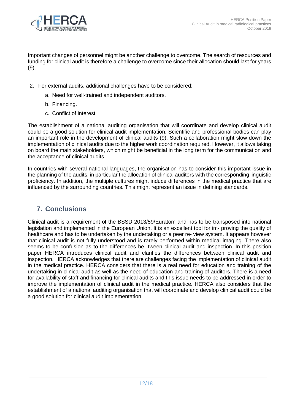

Important changes of personnel might be another challenge to overcome. The search of resources and funding for clinical audit is therefore a challenge to overcome since their allocation should last for years  $(9)$ .

- 2. For external audits, additional challenges have to be considered:
	- a. Need for well-trained and independent auditors.
	- b. Financing.
	- c. Conflict of interest

The establishment of a national auditing organisation that will coordinate and develop clinical audit could be a good solution for clinical audit implementation. Scientific and professional bodies can play an important role in the development of clinical audits (9). Such a collaboration might slow down the implementation of clinical audits due to the higher work coordination required. However, it allows taking on board the main stakeholders, which might be beneficial in the long term for the communication and the acceptance of clinical audits.

In countries with several national languages, the organisation has to consider this important issue in the planning of the audits, in particular the allocation of clinical auditors with the corresponding linguistic proficiency. In addition, the multiple cultures might induce differences in the medical practice that are influenced by the surrounding countries. This might represent an issue in defining standards.

## **7. Conclusions**

Clinical audit is a requirement of the BSSD 2013/59/Euratom and has to be transposed into national legislation and implemented in the European Union. It is an excellent tool for im- proving the quality of healthcare and has to be undertaken by the undertaking or a peer re- view system. It appears however that clinical audit is not fully understood and is rarely performed within medical imaging. There also seems to be confusion as to the differences be- tween clinical audit and inspection. In this position paper HERCA introduces clinical audit and clarifies the differences between clinical audit and inspection. HERCA acknowledges that there are challenges facing the implementation of clinical audit in the medical practice. HERCA considers that there is a real need for education and training of the undertaking in clinical audit as well as the need of education and training of auditors. There is a need for availability of staff and financing for clinical audits and this issue needs to be addressed in order to improve the implementation of clinical audit in the medical practice. HERCA also considers that the establishment of a national auditing organisation that will coordinate and develop clinical audit could be a good solution for clinical audit implementation.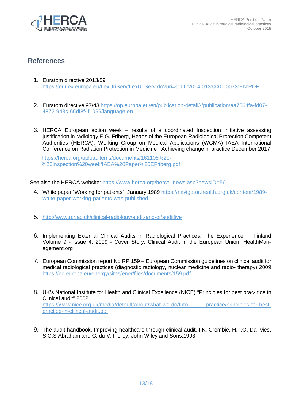

## **References**

- 1. Euratom directive 2013/59 https://eurlex.europa.eu/LexUriServ/LexUriServ.do?uri=OJ:L:2014:013:0001:0073:EN:PDF
- 2. Euratom directive 97/43 https://op.europa.eu/en/publication-detail/-/publication/aa7564fa-fd07- 4872-943c-66df8f4f1099/language-en
- 3. HERCA European action week results of a coordinated Inspection initiative assessing justification in radiology E.G. Friberg, Heads of the European Radiological Protection Competent Authorities (HERCA), Working Group on Medical Applications (WGMA) IAEA International Conference on Radiation Protection in Medicine : Achieving change in practice December 2017

https://herca.org/uploaditems/documents/161108%20- %20Inspection%20week/IAEA%20Paper%20EFriberg.pdf

See also the HERCA website: https://www.herca.org/herca\_news.asp?newsID=56

- 4. White paper "Working for patients", January 1989 https://navigator.health.org.uk/content/1989 white-paper-working-patients-was-published
- 5. http://www.rcr.ac.uk/clinical-radiology/audit-and-qi/auditlive
- 6. Implementing External Clinical Audits in Radiological Practices: The Experience in Finland Volume 9 - Issue 4, 2009 - Cover Story: Clinical Audit in the European Union, HealthManagement.org
- 7. European Commission report No RP 159 European Commission guidelines on clinical audit for medical radiological practices (diagnostic radiology, nuclear medicine and radio- therapy) 2009 https://ec.europa.eu/energy/sites/ener/files/documents/159.pdf
- 8. UK's National Institute for Health and Clinical Excellence (NICE) "Principles for best prac- tice in Clinical audit" 2002 https://www.nice.org.uk/media/default/About/what-we-do/Into- practice/principles-for-bestpractice-in-clinical-audit.pdf
- 9. The audit handbook, Improving healthcare through clinical audit, I.K. Crombie, H.T.O. Da- vies, S.C.S Abraham and C. du V. Florey, John Wiley and Sons,1993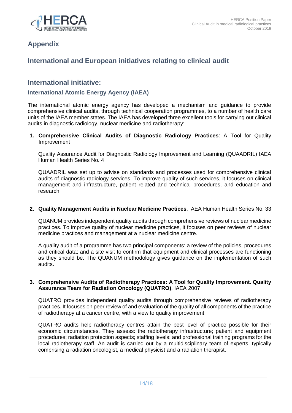

## **Appendix**

## **International and European initiatives relating to clinical audit**

## **International initiative:**

### **International Atomic Energy Agency (IAEA)**

The international atomic energy agency has developed a mechanism and guidance to provide comprehensive clinical audits, through technical cooperation programmes, to a number of health care units of the IAEA member states. The IAEA has developed three excellent tools for carrying out clinical audits in diagnostic radiology, nuclear medicine and radiotherapy:

**1. Comprehensive Clinical Audits of Diagnostic Radiology Practices**: A Tool for Quality Improvement

Quality Assurance Audit for Diagnostic Radiology Improvement and Learning (QUAADRIL) IAEA Human Health Series No. 4

QUAADRIL was set up to advise on standards and processes used for comprehensive clinical audits of diagnostic radiology services. To improve quality of such services, it focuses on clinical management and infrastructure, patient related and technical procedures, and education and research.

#### **2. Quality Management Audits in Nuclear Medicine Practices**, IAEA Human Health Series No. 33

QUANUM provides independent quality audits through comprehensive reviews of nuclear medicine practices. To improve quality of nuclear medicine practices, it focuses on peer reviews of nuclear medicine practices and management at a nuclear medicine centre.

A quality audit of a programme has two principal components: a review of the policies, procedures and critical data; and a site visit to confirm that equipment and clinical processes are functioning as they should be. The QUANUM methodology gives guidance on the implementation of such audits.

#### **3. Comprehensive Audits of Radiotherapy Practices: A Tool for Quality Improvement. Quality Assurance Team for Radiation Oncology (QUATRO)**, IAEA 2007

QUATRO provides independent quality audits through comprehensive reviews of radiotherapy practices. It focuses on peer review of and evaluation of the quality of all components of the practice of radiotherapy at a cancer centre, with a view to quality improvement.

QUATRO audits help radiotherapy centres attain the best level of practice possible for their economic circumstances. They assess: the radiotherapy infrastructure; patient and equipment procedures; radiation protection aspects; staffing levels; and professional training programs for the local radiotherapy staff. An audit is carried out by a multidisciplinary team of experts, typically comprising a radiation oncologist, a medical physicist and a radiation therapist.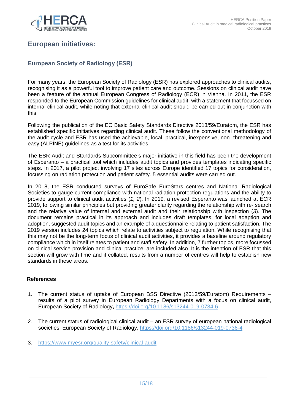

## **European initiatives:**

## **European Society of Radiology (ESR)**

For many years, the European Society of Radiology (ESR) has explored approaches to clinical audits, recognising it as a powerful tool to improve patient care and outcome. Sessions on clinical audit have been a feature of the annual European Congress of Radiology (ECR) in Vienna. In 2011, the ESR responded to the European Commission guidelines for clinical audit, with a statement that focussed on internal clinical audit, while noting that external clinical audit should be carried out in conjunction with this.

Following the publication of the EC Basic Safety Standards Directive 2013/59/Euratom, the ESR has established specific initiatives regarding clinical audit. These follow the conventional methodology of the audit cycle and ESR has used the achievable, local, practical, inexpensive, non- threatening and easy (ALPINE) guidelines as a test for its activities.

The ESR Audit and Standards Subcommittee's major initiative in this field has been the development of Esperanto – a practical tool which includes audit topics and provides templates indicating specific steps. In 2017, a pilot project involving 17 sites across Europe identified 17 topics for consideration, focussing on radiation protection and patient safety. 5 essential audits were carried out.

In 2018, the ESR conducted surveys of EuroSafe EuroStars centres and National Radiological Societies to gauge current compliance with national radiation protection regulations and the ability to provide support to clinical audit activities (1, 2). In 2019, a revised Esperanto was launched at ECR 2019, following similar principles but providing greater clarity regarding the relationship with re- search and the relative value of internal and external audit and their relationship with inspection (3). The document remains practical in its approach and includes draft templates, for local adaption and adoption, suggested audit topics and an example of a questionnaire relating to patient satisfaction. The 2019 version includes 24 topics which relate to activities subject to regulation. While recognising that this may not be the long-term focus of clinical audit activities, it provides a baseline around regulatory compliance which in itself relates to patient and staff safety. In addition, 7 further topics, more focussed on clinical service provision and clinical practice, are included also. It is the intention of ESR that this section will grow with time and if collated, results from a number of centres will help to establish new standards in these areas.

#### **References**

- 1. The current status of uptake of European BSS Directive (2013/59/Euratom) Requirements results of a pilot survey in European Radiology Departments with a focus on clinical audit, European Society of Radiology**,** https://doi.org/10.1186/s13244-019-0734-6
- 2. The current status of radiological clinical audit an ESR survey of european national radiological societies, European Society of Radiology, https://doi.org/10.1186/s13244-019-0736-4
- 3. https://www.myesr.org/quality-safety/clinical-audit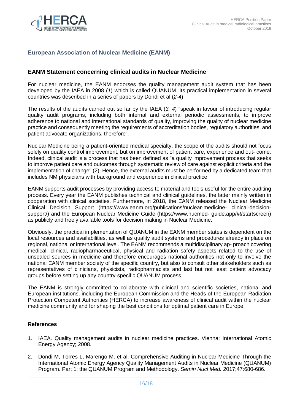

## **European Association of Nuclear Medicine (EANM)**

#### **EANM Statement concerning clinical audits in Nuclear Medicine**

For nuclear medicine, the EANM endorses the quality management audit system that has been developed by the IAEA in 2008 (1) which is called QUANUM. Its practical implementation in several countries was described in a series of papers by Dondi et al (2-4).

The results of the audits carried out so far by the IAEA (3, 4) "speak in favour of introducing regular quality audit programs, including both internal and external periodic assessments, to improve adherence to national and international standards of quality, improving the quality of nuclear medicine practice and consequently meeting the requirements of accreditation bodies, regulatory authorities, and patient advocate organizations, therefore".

Nuclear Medicine being a patient-oriented medical specialty, the scope of the audits should not focus solely on quality control improvement, but on improvement of patient care, experience and out- come. Indeed, clinical audit is a process that has been defined as "a quality improvement process that seeks to improve patient care and outcomes through systematic review of care against explicit criteria and the implementation of change" (2). Hence, the external audits must be performed by a dedicated team that includes NM physicians with background and experience in clinical practice.

EANM supports audit processes by providing access to material and tools useful for the entire auditing process. Every year the EANM publishes technical and clinical guidelines, the latter mainly written in cooperation with clinical societies. Furthermore, in 2018, the EANM released the Nuclear Medicine Clinical Decision Support (https://www.eanm.org/publications/nuclear-medicine- clinical-decisionsupport/) and the European Nuclear Medicine Guide (https://www.nucmed- guide.app/#!/startscreen) as publicly and freely available tools for decision making in Nuclear Medicine.

Obviously, the practical implementation of QUANUM in the EANM member states is dependent on the local resources and availabilities, as well as quality audit systems and procedures already in place on regional, national or international level. The EANM recommends a multidisciplinary ap- proach covering medical, clinical, radiopharmaceutical, physical and radiation safety aspects related to the use of unsealed sources in medicine and therefore encourages national authorities not only to involve the national EANM member society of the specific country, but also to consult other stakeholders such as representatives of clinicians, physicists, radiopharmacists and last but not least patient advocacy groups before setting up any country-specific QUANUM process.

The EANM is strongly committed to collaborate with clinical and scientific societies, national and European institutions, including the European Commission and the Heads of the European Radiation Protection Competent Authorities (HERCA) to increase awareness of clinical audit within the nuclear medicine community and for shaping the best conditions for optimal patient care in Europe.

#### **References**

- 1. IAEA. Quality management audits in nuclear medicine practices. Vienna: International Atomic Energy Agency; 2008.
- 2. Dondi M, Torres L, Marengo M, et al. Comprehensive Auditing in Nuclear Medicine Through the International Atomic Energy Agency Quality Management Audits in Nuclear Medicine (QUANUM) Program. Part 1: the QUANUM Program and Methodology. Semin Nucl Med. 2017;47:680-686.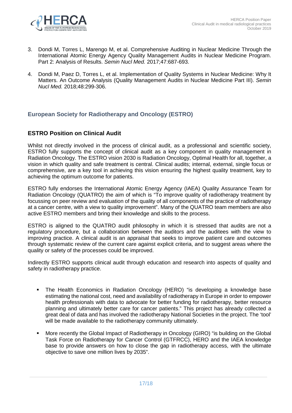

- 3. Dondi M, Torres L, Marengo M, et al. Comprehensive Auditing in Nuclear Medicine Through the International Atomic Energy Agency Quality Management Audits in Nuclear Medicine Program. Part 2: Analysis of Results. Semin Nucl Med. 2017;47:687-693.
- 4. Dondi M, Paez D, Torres L, et al. Implementation of Quality Systems in Nuclear Medicine: Why It Matters. An Outcome Analysis (Quality Management Audits in Nuclear Medicine Part III). Semin Nucl Med. 2018;48:299-306.

### **European Society for Radiotherapy and Oncology (ESTRO)**

### **ESTRO Position on Clinical Audit**

Whilst not directly involved in the process of clinical audit, as a professional and scientific society, ESTRO fully supports the concept of clinical audit as a key component in quality management in Radiation Oncology. The ESTRO vision 2030 is Radiation Oncology, Optimal Health for all, together, a vision in which quality and safe treatment is central. Clinical audits; internal, external, single focus or comprehensive, are a key tool in achieving this vision ensuring the highest quality treatment, key to achieving the optimum outcome for patients.

ESTRO fully endorses the International Atomic Energy Agency (IAEA) Quality Assurance Team for Radiation Oncology (QUATRO) the aim of which is "To improve quality of radiotherapy treatment by focussing on peer review and evaluation of the quality of all components of the practice of radiotherapy at a cancer centre, with a view to quality improvement". Many of the QUATRO team members are also active ESTRO members and bring their knowledge and skills to the process.

ESTRO is aligned to the QUATRO audit philosophy in which it is stressed that audits are not a regulatory procedure, but a collaboration between the auditors and the auditees with the view to improving practice. A clinical audit is an appraisal that seeks to improve patient care and outcomes through systematic review of the current care against explicit criteria, and to suggest areas where the quality or safety of the processes could be improved.

Indirectly ESTRO supports clinical audit through education and research into aspects of quality and safety in radiotherapy practice.

- The Health Economics in Radiation Oncology (HERO) "is developing a knowledge base estimating the national cost, need and availability of radiotherapy in Europe in order to empower health professionals with data to advocate for better funding for radiotherapy, better resource planning and ultimately better care for cancer patients." This project has already collected a great deal of data and has involved the radiotherapy National Societies in the project. The 'tool' will be made available to the radiotherapy community ultimately.
- More recently the Global Impact of Radiotherapy in Oncology (GIRO) "is building on the Global Task Force on Radiotherapy for Cancer Control (GTFRCC), HERO and the IAEA knowledge base to provide answers on how to close the gap in radiotherapy access, with the ultimate objective to save one million lives by 2035".